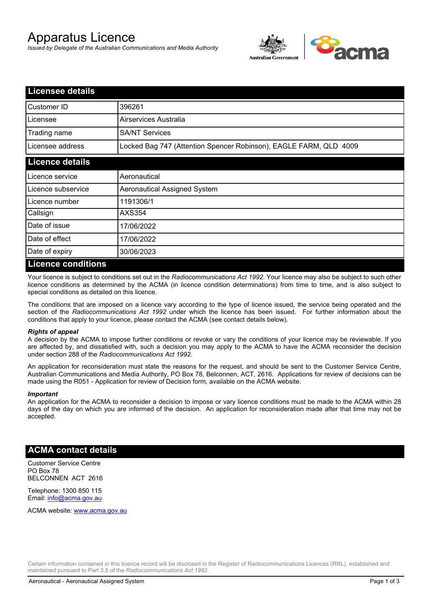# Apparatus Licence

*Issued by Delegate of the Australian Communications and Media Authority*



| <b>Licensee details</b> |                                                                   |
|-------------------------|-------------------------------------------------------------------|
| Customer ID             | 396261                                                            |
| Licensee                | Airservices Australia                                             |
| Trading name            | <b>SA/NT Services</b>                                             |
| Licensee address        | Locked Bag 747 (Attention Spencer Robinson), EAGLE FARM, QLD 4009 |
| <b>Licence details</b>  |                                                                   |
| l Licence service       | Aeronautical                                                      |
| Licence subservice      | Aeronautical Assigned System                                      |
| l Licence number        | 1191306/1                                                         |
| Callsign                | AXS354                                                            |
| Date of issue           | 17/06/2022                                                        |
| Date of effect          | 17/06/2022                                                        |
| Date of expiry          | 30/06/2023                                                        |
| Licance conditions      |                                                                   |

## **Licence conditions**

Your licence is subject to conditions set out in the *Radiocommunications Act 1992*. Your licence may also be subject to such other licence conditions as determined by the ACMA (in licence condition determinations) from time to time, and is also subject to special conditions as detailed on this licence.

The conditions that are imposed on a licence vary according to the type of licence issued, the service being operated and the section of the *Radiocommunications Act 1992* under which the licence has been issued. For further information about the conditions that apply to your licence, please contact the ACMA (see contact details below).

## *Rights of appeal*

A decision by the ACMA to impose further conditions or revoke or vary the conditions of your licence may be reviewable. If you are affected by, and dissatisfied with, such a decision you may apply to the ACMA to have the ACMA reconsider the decision under section 288 of the *Radiocommunications Act 1992*.

An application for reconsideration must state the reasons for the request, and should be sent to the Customer Service Centre, Australian Communications and Media Authority, PO Box 78, Belconnen, ACT, 2616. Applications for review of decisions can be made using the R051 - Application for review of Decision form, available on the ACMA website.

#### *Important*

An application for the ACMA to reconsider a decision to impose or vary licence conditions must be made to the ACMA within 28 days of the day on which you are informed of the decision. An application for reconsideration made after that time may not be accepted.

## **ACMA contact details**

Customer Service Centre PO Box 78 BELCONNEN ACT 2616

Telephone: 1300 850 115 Email: info@acma.gov.au

ACMA website: www.acma.gov.au

Certain information contained in this licence record will be disclosed in the Register of Radiocommunications Licences (RRL), established and maintained pursuant to Part 3.5 of the *Radiocommunications Act 1992.*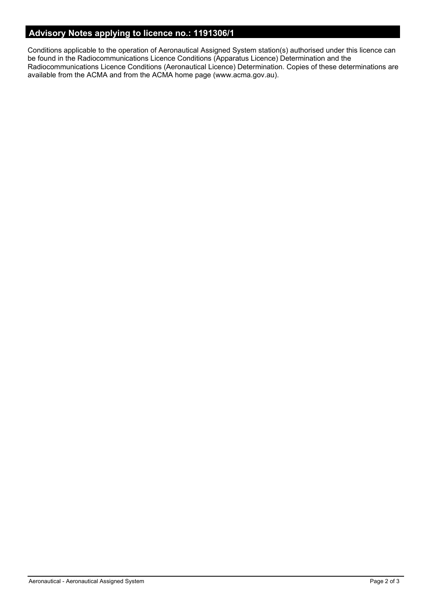# **Advisory Notes applying to licence no.: 1191306/1**

Conditions applicable to the operation of Aeronautical Assigned System station(s) authorised under this licence can be found in the Radiocommunications Licence Conditions (Apparatus Licence) Determination and the Radiocommunications Licence Conditions (Aeronautical Licence) Determination. Copies of these determinations are available from the ACMA and from the ACMA home page (www.acma.gov.au).